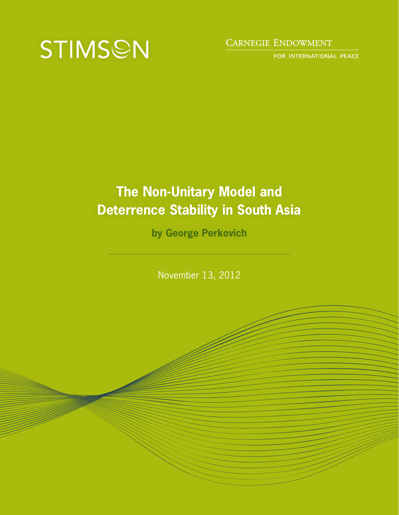

## **CARNEGIE ENDOWMENT**

FOR INTERNATIONAL PEACE

# **The Non-Unitary Model and Deterrence Stability in South Asia**

**by George Perkovich**

November 13, 2012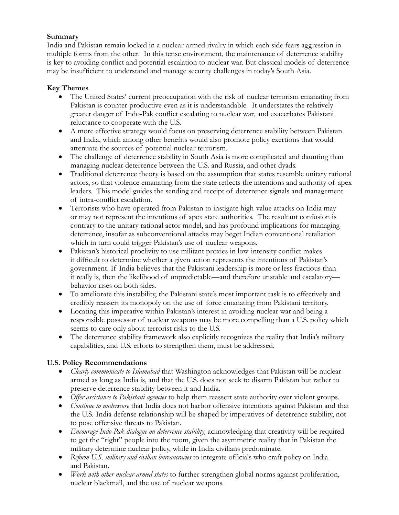## **Summary**

India and Pakistan remain locked in a nuclear-armed rivalry in which each side fears aggression in multiple forms from the other. In this tense environment, the maintenance of deterrence stability is key to avoiding conflict and potential escalation to nuclear war. But classical models of deterrence may be insufficient to understand and manage security challenges in today's South Asia.

## **Key Themes**

- The United States' current preoccupation with the risk of nuclear terrorism emanating from Pakistan is counter-productive even as it is understandable. It understates the relatively greater danger of Indo-Pak conflict escalating to nuclear war, and exacerbates Pakistani reluctance to cooperate with the U.S.
- A more effective strategy would focus on preserving deterrence stability between Pakistan and India, which among other benefits would also promote policy exertions that would attenuate the sources of potential nuclear terrorism.
- The challenge of deterrence stability in South Asia is more complicated and daunting than managing nuclear deterrence between the U.S. and Russia, and other dyads.
- Traditional deterrence theory is based on the assumption that states resemble unitary rational actors, so that violence emanating from the state reflects the intentions and authority of apex leaders. This model guides the sending and receipt of deterrence signals and management of intra-conflict escalation.
- Terrorists who have operated from Pakistan to instigate high-value attacks on India may or may not represent the intentions of apex state authorities. The resultant confusion is contrary to the unitary rational actor model, and has profound implications for managing deterrence, insofar as subconventional attacks may beget Indian conventional retaliation which in turn could trigger Pakistan's use of nuclear weapons.
- Pakistan's historical proclivity to use militant proxies in low-intensity conflict makes it difficult to determine whether a given action represents the intentions of Pakistan's government. If India believes that the Pakistani leadership is more or less fractious than it really is, then the likelihood of unpredictable—and therefore unstable and escalatory behavior rises on both sides.
- To ameliorate this instability, the Pakistani state's most important task is to effectively and credibly reassert its monopoly on the use of force emanating from Pakistani territory.
- Locating this imperative within Pakistan's interest in avoiding nuclear war and being a responsible possessor of nuclear weapons may be more compelling than a U.S. policy which seems to care only about terrorist risks to the U.S.
- The deterrence stability framework also explicitly recognizes the reality that India's military capabilities, and U.S. efforts to strengthen them, must be addressed.

## **U.S. Policy Recommendations**

- *Clearly communicate to Islamabad* that Washington acknowledges that Pakistan will be nucleararmed as long as India is, and that the U.S. does not seek to disarm Pakistan but rather to preserve deterrence stability between it and India.
- • *Offer assistance to Pakistani agencies* to help them reassert state authority over violent groups.
- *Continue to underscore* that India does not harbor offensive intentions against Pakistan and that the U.S.-India defense relationship will be shaped by imperatives of deterrence stability, not to pose offensive threats to Pakistan.
- *Encourage Indo-Pak dialogue on deterrence stability, acknowledging that creativity will be required* to get the "right" people into the room, given the asymmetric reality that in Pakistan the military determine nuclear policy, while in India civilians predominate.
- *Reform U.S. military and civilian bureaucracies* to integrate officials who craft policy on India and Pakistan.
- *Work with other nuclear-armed states* to further strengthen global norms against proliferation, nuclear blackmail, and the use of nuclear weapons.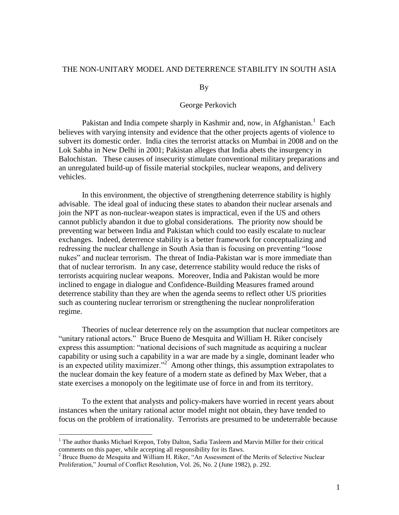### THE NON-UNITARY MODEL AND DETERRENCE STABILITY IN SOUTH ASIA

#### By

#### George Perkovich

Pakistan and India compete sharply in Kashmir and, now, in Afghanistan.<sup>1</sup> Each believes with varying intensity and evidence that the other projects agents of violence to subvert its domestic order. India cites the terrorist attacks on Mumbai in 2008 and on the Lok Sabha in New Delhi in 2001; Pakistan alleges that India abets the insurgency in Balochistan. These causes of insecurity stimulate conventional military preparations and an unregulated build-up of fissile material stockpiles, nuclear weapons, and delivery vehicles.

In this environment, the objective of strengthening deterrence stability is highly advisable. The ideal goal of inducing these states to abandon their nuclear arsenals and join the NPT as non-nuclear-weapon states is impractical, even if the US and others cannot publicly abandon it due to global considerations. The priority now should be preventing war between India and Pakistan which could too easily escalate to nuclear exchanges. Indeed, deterrence stability is a better framework for conceptualizing and redressing the nuclear challenge in South Asia than is focusing on preventing "loose nukes" and nuclear terrorism. The threat of India-Pakistan war is more immediate than that of nuclear terrorism. In any case, deterrence stability would reduce the risks of terrorists acquiring nuclear weapons. Moreover, India and Pakistan would be more inclined to engage in dialogue and Confidence-Building Measures framed around deterrence stability than they are when the agenda seems to reflect other US priorities such as countering nuclear terrorism or strengthening the nuclear nonproliferation regime.

Theories of nuclear deterrence rely on the assumption that nuclear competitors are "unitary rational actors." Bruce Bueno de Mesquita and William H. Riker concisely express this assumption: "national decisions of such magnitude as acquiring a nuclear capability or using such a capability in a war are made by a single, dominant leader who is an expected utility maximizer."<sup>2</sup> Among other things, this assumption extrapolates to the nuclear domain the key feature of a modern state as defined by Max Weber, that a state exercises a monopoly on the legitimate use of force in and from its territory.

To the extent that analysts and policy-makers have worried in recent years about instances when the unitary rational actor model might not obtain, they have tended to focus on the problem of irrationality. Terrorists are presumed to be undeterrable because

 $<sup>1</sup>$  The author thanks Michael Krepon, Toby Dalton, Sadia Tasleem and Marvin Miller for their critical</sup> comments on this paper, while accepting all responsibility for its flaws.

 $2^2$  Bruce Bueno de Mesquita and William H. Riker, "An Assessment of the Merits of Selective Nuclear Proliferation," Journal of Conflict Resolution, Vol. 26, No. 2 (June 1982), p. 292.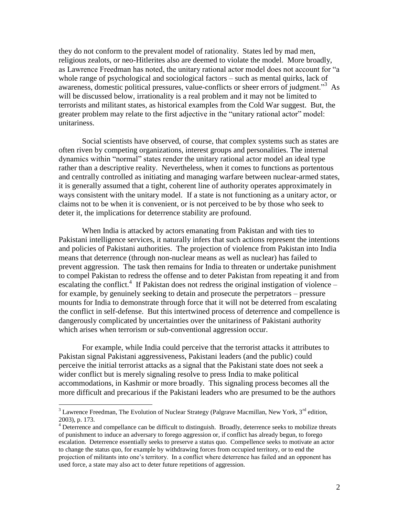they do not conform to the prevalent model of rationality. States led by mad men, religious zealots, or neo-Hitlerites also are deemed to violate the model. More broadly, as Lawrence Freedman has noted, the unitary rational actor model does not account for "a whole range of psychological and sociological factors – such as mental quirks, lack of awareness, domestic political pressures, value-conflicts or sheer errors of judgment."<sup>3</sup> As will be discussed below, irrationality is a real problem and it may not be limited to terrorists and militant states, as historical examples from the Cold War suggest. But, the greater problem may relate to the first adjective in the "unitary rational actor" model: unitariness.

Social scientists have observed, of course, that complex systems such as states are often riven by competing organizations, interest groups and personalities. The internal dynamics within "normal" states render the unitary rational actor model an ideal type rather than a descriptive reality. Nevertheless, when it comes to functions as portentous and centrally controlled as initiating and managing warfare between nuclear-armed states, it is generally assumed that a tight, coherent line of authority operates approximately in ways consistent with the unitary model. If a state is not functioning as a unitary actor, or claims not to be when it is convenient, or is not perceived to be by those who seek to deter it, the implications for deterrence stability are profound.

When India is attacked by actors emanating from Pakistan and with ties to Pakistani intelligence services, it naturally infers that such actions represent the intentions and policies of Pakistani authorities. The projection of violence from Pakistan into India means that deterrence (through non-nuclear means as well as nuclear) has failed to prevent aggression. The task then remains for India to threaten or undertake punishment to compel Pakistan to redress the offense and to deter Pakistan from repeating it and from escalating the conflict.<sup>4</sup> If Pakistan does not redress the original instigation of violence  $$ for example, by genuinely seeking to detain and prosecute the perpetrators – pressure mounts for India to demonstrate through force that it will not be deterred from escalating the conflict in self-defense. But this intertwined process of deterrence and compellence is dangerously complicated by uncertainties over the unitariness of Pakistani authority which arises when terrorism or sub-conventional aggression occur.

For example, while India could perceive that the terrorist attacks it attributes to Pakistan signal Pakistani aggressiveness, Pakistani leaders (and the public) could perceive the initial terrorist attacks as a signal that the Pakistani state does not seek a wider conflict but is merely signaling resolve to press India to make political accommodations, in Kashmir or more broadly. This signaling process becomes all the more difficult and precarious if the Pakistani leaders who are presumed to be the authors

 $3$  Lawrence Freedman, The Evolution of Nuclear Strategy (Palgrave Macmillan, New York,  $3<sup>rd</sup>$  edition, 2003), p. 173.

<sup>&</sup>lt;sup>4</sup> Deterrence and compellance can be difficult to distinguish. Broadly, deterrence seeks to mobilize threats of punishment to induce an adversary to forego aggression or, if conflict has already begun, to forego escalation. Deterrence essentially seeks to preserve a status quo. Compellence seeks to motivate an actor to change the status quo, for example by withdrawing forces from occupied territory, or to end the projection of militants into one's territory. In a conflict where deterrence has failed and an opponent has used force, a state may also act to deter future repetitions of aggression.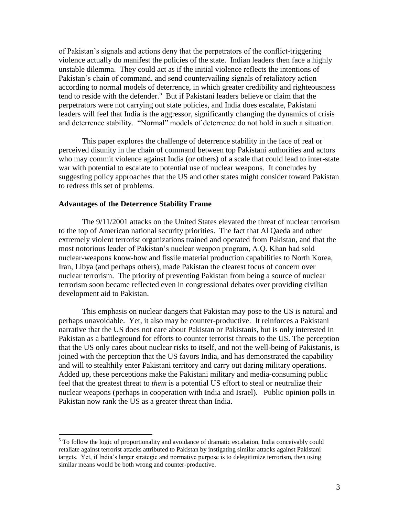of Pakistan's signals and actions deny that the perpetrators of the conflict-triggering violence actually do manifest the policies of the state. Indian leaders then face a highly unstable dilemma. They could act as if the initial violence reflects the intentions of Pakistan's chain of command, and send countervailing signals of retaliatory action according to normal models of deterrence, in which greater credibility and righteousness tend to reside with the defender. 5 But if Pakistani leaders believe or claim that the perpetrators were not carrying out state policies, and India does escalate, Pakistani leaders will feel that India is the aggressor, significantly changing the dynamics of crisis and deterrence stability. "Normal" models of deterrence do not hold in such a situation.

This paper explores the challenge of deterrence stability in the face of real or perceived disunity in the chain of command between top Pakistani authorities and actors who may commit violence against India (or others) of a scale that could lead to inter-state war with potential to escalate to potential use of nuclear weapons. It concludes by suggesting policy approaches that the US and other states might consider toward Pakistan to redress this set of problems.

#### **Advantages of the Deterrence Stability Frame**

 $\overline{a}$ 

The 9/11/2001 attacks on the United States elevated the threat of nuclear terrorism to the top of American national security priorities. The fact that Al Qaeda and other extremely violent terrorist organizations trained and operated from Pakistan, and that the most notorious leader of Pakistan's nuclear weapon program, A.Q. Khan had sold nuclear-weapons know-how and fissile material production capabilities to North Korea, Iran, Libya (and perhaps others), made Pakistan the clearest focus of concern over nuclear terrorism. The priority of preventing Pakistan from being a source of nuclear terrorism soon became reflected even in congressional debates over providing civilian development aid to Pakistan.

This emphasis on nuclear dangers that Pakistan may pose to the US is natural and perhaps unavoidable. Yet, it also may be counter-productive. It reinforces a Pakistani narrative that the US does not care about Pakistan or Pakistanis, but is only interested in Pakistan as a battleground for efforts to counter terrorist threats to the US. The perception that the US only cares about nuclear risks to itself, and not the well-being of Pakistanis, is joined with the perception that the US favors India, and has demonstrated the capability and will to stealthily enter Pakistani territory and carry out daring military operations. Added up, these perceptions make the Pakistani military and media-consuming public feel that the greatest threat to *them* is a potential US effort to steal or neutralize their nuclear weapons (perhaps in cooperation with India and Israel). Public opinion polls in Pakistan now rank the US as a greater threat than India.

<sup>&</sup>lt;sup>5</sup> To follow the logic of proportionality and avoidance of dramatic escalation, India conceivably could retaliate against terrorist attacks attributed to Pakistan by instigating similar attacks against Pakistani targets. Yet, if India's larger strategic and normative purpose is to delegitimize terrorism, then using similar means would be both wrong and counter-productive.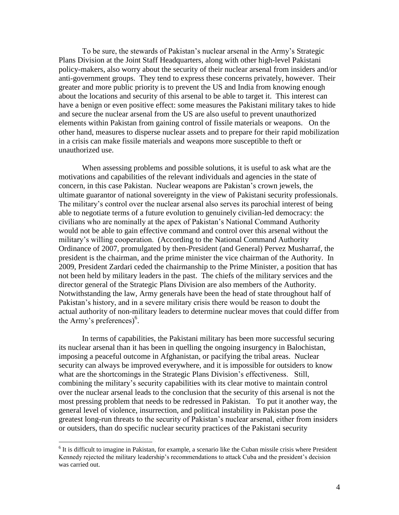To be sure, the stewards of Pakistan's nuclear arsenal in the Army's Strategic Plans Division at the Joint Staff Headquarters, along with other high-level Pakistani policy-makers, also worry about the security of their nuclear arsenal from insiders and/or anti-government groups. They tend to express these concerns privately, however. Their greater and more public priority is to prevent the US and India from knowing enough about the locations and security of this arsenal to be able to target it. This interest can have a benign or even positive effect: some measures the Pakistani military takes to hide and secure the nuclear arsenal from the US are also useful to prevent unauthorized elements within Pakistan from gaining control of fissile materials or weapons. On the other hand, measures to disperse nuclear assets and to prepare for their rapid mobilization in a crisis can make fissile materials and weapons more susceptible to theft or unauthorized use.

When assessing problems and possible solutions, it is useful to ask what are the motivations and capabilities of the relevant individuals and agencies in the state of concern, in this case Pakistan. Nuclear weapons are Pakistan's crown jewels, the ultimate guarantor of national sovereignty in the view of Pakistani security professionals. The military's control over the nuclear arsenal also serves its parochial interest of being able to negotiate terms of a future evolution to genuinely civilian-led democracy: the civilians who are nominally at the apex of Pakistan's National Command Authority would not be able to gain effective command and control over this arsenal without the military's willing cooperation. (According to the National Command Authority Ordinance of 2007, promulgated by then-President (and General) Pervez Musharraf, the president is the chairman, and the prime minister the vice chairman of the Authority. In 2009, President Zardari ceded the chairmanship to the Prime Minister, a position that has not been held by military leaders in the past. The chiefs of the military services and the director general of the Strategic Plans Division are also members of the Authority. Notwithstanding the law, Army generals have been the head of state throughout half of Pakistan's history, and in a severe military crisis there would be reason to doubt the actual authority of non-military leaders to determine nuclear moves that could differ from the Army's preferences) 6 .

In terms of capabilities, the Pakistani military has been more successful securing its nuclear arsenal than it has been in quelling the ongoing insurgency in Balochistan, imposing a peaceful outcome in Afghanistan, or pacifying the tribal areas. Nuclear security can always be improved everywhere, and it is impossible for outsiders to know what are the shortcomings in the Strategic Plans Division's effectiveness. Still, combining the military's security capabilities with its clear motive to maintain control over the nuclear arsenal leads to the conclusion that the security of this arsenal is not the most pressing problem that needs to be redressed in Pakistan. To put it another way, the general level of violence, insurrection, and political instability in Pakistan pose the greatest long-run threats to the security of Pakistan's nuclear arsenal, either from insiders or outsiders, than do specific nuclear security practices of the Pakistani security

<sup>&</sup>lt;sup>6</sup> It is difficult to imagine in Pakistan, for example, a scenario like the Cuban missile crisis where President Kennedy rejected the military leadership's recommendations to attack Cuba and the president's decision was carried out.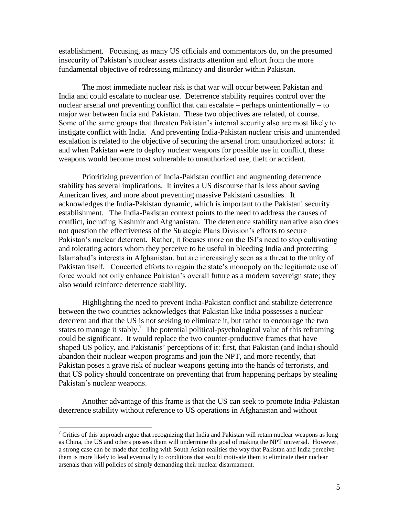establishment. Focusing, as many US officials and commentators do, on the presumed insecurity of Pakistan's nuclear assets distracts attention and effort from the more fundamental objective of redressing militancy and disorder within Pakistan.

The most immediate nuclear risk is that war will occur between Pakistan and India and could escalate to nuclear use. Deterrence stability requires control over the nuclear arsenal *and* preventing conflict that can escalate – perhaps unintentionally – to major war between India and Pakistan. These two objectives are related, of course. Some of the same groups that threaten Pakistan's internal security also are most likely to instigate conflict with India. And preventing India-Pakistan nuclear crisis and unintended escalation is related to the objective of securing the arsenal from unauthorized actors: if and when Pakistan were to deploy nuclear weapons for possible use in conflict, these weapons would become most vulnerable to unauthorized use, theft or accident.

Prioritizing prevention of India-Pakistan conflict and augmenting deterrence stability has several implications. It invites a US discourse that is less about saving American lives, and more about preventing massive Pakistani casualties. It acknowledges the India-Pakistan dynamic, which is important to the Pakistani security establishment. The India-Pakistan context points to the need to address the causes of conflict, including Kashmir and Afghanistan. The deterrence stability narrative also does not question the effectiveness of the Strategic Plans Division's efforts to secure Pakistan's nuclear deterrent. Rather, it focuses more on the ISI's need to stop cultivating and tolerating actors whom they perceive to be useful in bleeding India and protecting Islamabad's interests in Afghanistan, but are increasingly seen as a threat to the unity of Pakistan itself. Concerted efforts to regain the state's monopoly on the legitimate use of force would not only enhance Pakistan's overall future as a modern sovereign state; they also would reinforce deterrence stability.

Highlighting the need to prevent India-Pakistan conflict and stabilize deterrence between the two countries acknowledges that Pakistan like India possesses a nuclear deterrent and that the US is not seeking to eliminate it, but rather to encourage the two states to manage it stably.<sup>7</sup> The potential political-psychological value of this reframing could be significant. It would replace the two counter-productive frames that have shaped US policy, and Pakistanis' perceptions of it: first, that Pakistan (and India) should abandon their nuclear weapon programs and join the NPT, and more recently, that Pakistan poses a grave risk of nuclear weapons getting into the hands of terrorists, and that US policy should concentrate on preventing that from happening perhaps by stealing Pakistan's nuclear weapons.

Another advantage of this frame is that the US can seek to promote India-Pakistan deterrence stability without reference to US operations in Afghanistan and without

 $7$  Critics of this approach argue that recognizing that India and Pakistan will retain nuclear weapons as long as China, the US and others possess them will undermine the goal of making the NPT universal. However, a strong case can be made that dealing with South Asian realities the way that Pakistan and India perceive them is more likely to lead eventually to conditions that would motivate them to eliminate their nuclear arsenals than will policies of simply demanding their nuclear disarmament.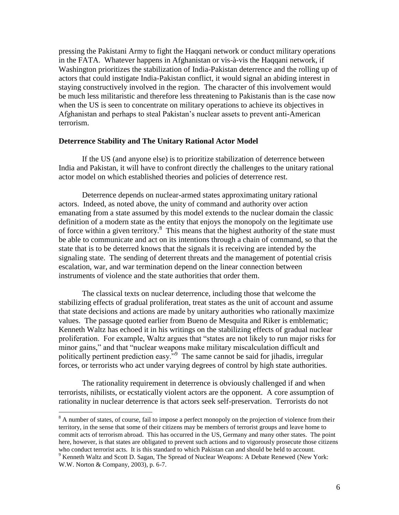pressing the Pakistani Army to fight the Haqqani network or conduct military operations in the FATA. Whatever happens in Afghanistan or vis-à-vis the Haqqani network, if Washington prioritizes the stabilization of India-Pakistan deterrence and the rolling up of actors that could instigate India-Pakistan conflict, it would signal an abiding interest in staying constructively involved in the region. The character of this involvement would be much less militaristic and therefore less threatening to Pakistanis than is the case now when the US is seen to concentrate on military operations to achieve its objectives in Afghanistan and perhaps to steal Pakistan's nuclear assets to prevent anti-American terrorism.

#### **Deterrence Stability and The Unitary Rational Actor Model**

If the US (and anyone else) is to prioritize stabilization of deterrence between India and Pakistan, it will have to confront directly the challenges to the unitary rational actor model on which established theories and policies of deterrence rest.

Deterrence depends on nuclear-armed states approximating unitary rational actors. Indeed, as noted above, the unity of command and authority over action emanating from a state assumed by this model extends to the nuclear domain the classic definition of a modern state as the entity that enjoys the monopoly on the legitimate use of force within a given territory.<sup>8</sup> This means that the highest authority of the state must be able to communicate and act on its intentions through a chain of command, so that the state that is to be deterred knows that the signals it is receiving are intended by the signaling state. The sending of deterrent threats and the management of potential crisis escalation, war, and war termination depend on the linear connection between instruments of violence and the state authorities that order them.

The classical texts on nuclear deterrence, including those that welcome the stabilizing effects of gradual proliferation, treat states as the unit of account and assume that state decisions and actions are made by unitary authorities who rationally maximize values. The passage quoted earlier from Bueno de Mesquita and Riker is emblematic; Kenneth Waltz has echoed it in his writings on the stabilizing effects of gradual nuclear proliferation. For example, Waltz argues that "states are not likely to run major risks for minor gains," and that "nuclear weapons make military miscalculation difficult and politically pertinent prediction easy."<sup>9</sup> The same cannot be said for jihadis, irregular forces, or terrorists who act under varying degrees of control by high state authorities.

The rationality requirement in deterrence is obviously challenged if and when terrorists, nihilists, or ecstatically violent actors are the opponent. A core assumption of rationality in nuclear deterrence is that actors seek self-preservation. Terrorists do not

<sup>&</sup>lt;sup>8</sup> A number of states, of course, fail to impose a perfect monopoly on the projection of violence from their territory, in the sense that some of their citizens may be members of terrorist groups and leave home to commit acts of terrorism abroad. This has occurred in the US, Germany and many other states. The point here, however, is that states are obligated to prevent such actions and to vigorously prosecute those citizens who conduct terrorist acts. It is this standard to which Pakistan can and should be held to account.

<sup>&</sup>lt;sup>9</sup> Kenneth Waltz and Scott D. Sagan, The Spread of Nuclear Weapons: A Debate Renewed (New York: W.W. Norton & Company, 2003), p. 6-7.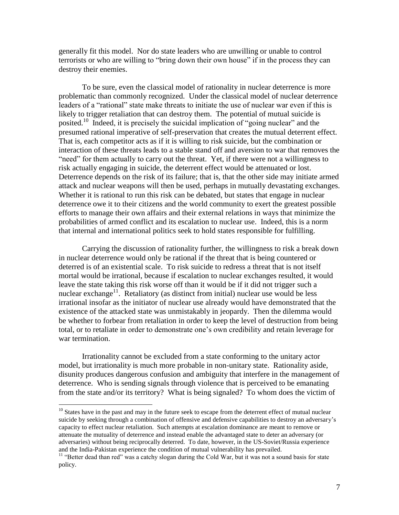generally fit this model. Nor do state leaders who are unwilling or unable to control terrorists or who are willing to "bring down their own house" if in the process they can destroy their enemies.

To be sure, even the classical model of rationality in nuclear deterrence is more problematic than commonly recognized. Under the classical model of nuclear deterrence leaders of a "rational" state make threats to initiate the use of nuclear war even if this is likely to trigger retaliation that can destroy them. The potential of mutual suicide is posited.<sup>10</sup> Indeed, it is precisely the suicidal implication of "going nuclear" and the presumed rational imperative of self-preservation that creates the mutual deterrent effect. That is, each competitor acts as if it is willing to risk suicide, but the combination or interaction of these threats leads to a stable stand off and aversion to war that removes the "need" for them actually to carry out the threat. Yet, if there were not a willingness to risk actually engaging in suicide, the deterrent effect would be attenuated or lost. Deterrence depends on the risk of its failure; that is, that the other side may initiate armed attack and nuclear weapons will then be used, perhaps in mutually devastating exchanges. Whether it is rational to run this risk can be debated, but states that engage in nuclear deterrence owe it to their citizens and the world community to exert the greatest possible efforts to manage their own affairs and their external relations in ways that minimize the probabilities of armed conflict and its escalation to nuclear use. Indeed, this is a norm that internal and international politics seek to hold states responsible for fulfilling.

Carrying the discussion of rationality further, the willingness to risk a break down in nuclear deterrence would only be rational if the threat that is being countered or deterred is of an existential scale. To risk suicide to redress a threat that is not itself mortal would be irrational, because if escalation to nuclear exchanges resulted, it would leave the state taking this risk worse off than it would be if it did not trigger such a nuclear exchange<sup>11</sup>. Retaliatory (as distinct from initial) nuclear use would be less irrational insofar as the initiator of nuclear use already would have demonstrated that the existence of the attacked state was unmistakably in jeopardy. Then the dilemma would be whether to forbear from retaliation in order to keep the level of destruction from being total, or to retaliate in order to demonstrate one's own credibility and retain leverage for war termination.

Irrationality cannot be excluded from a state conforming to the unitary actor model, but irrationality is much more probable in non-unitary state. Rationality aside, disunity produces dangerous confusion and ambiguity that interfere in the management of deterrence. Who is sending signals through violence that is perceived to be emanating from the state and/or its territory? What is being signaled? To whom does the victim of

 $10$  States have in the past and may in the future seek to escape from the deterrent effect of mutual nuclear suicide by seeking through a combination of offensive and defensive capabilities to destroy an adversary's capacity to effect nuclear retaliation. Such attempts at escalation dominance are meant to remove or attenuate the mutuality of deterrence and instead enable the advantaged state to deter an adversary (or adversaries) without being reciprocally deterred. To date, however, in the US-Soviet/Russia experience and the India-Pakistan experience the condition of mutual vulnerability has prevailed.

<sup>&</sup>lt;sup>11</sup> "Better dead than red" was a catchy slogan during the Cold War, but it was not a sound basis for state policy.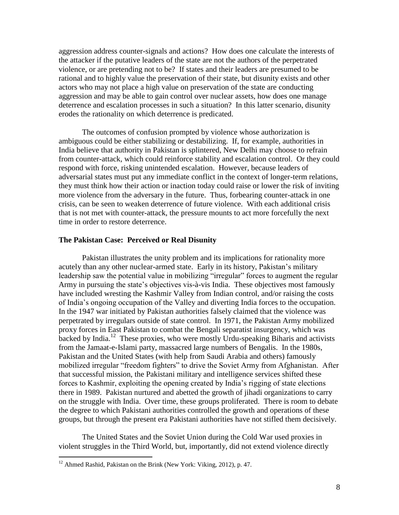aggression address counter-signals and actions? How does one calculate the interests of the attacker if the putative leaders of the state are not the authors of the perpetrated violence, or are pretending not to be? If states and their leaders are presumed to be rational and to highly value the preservation of their state, but disunity exists and other actors who may not place a high value on preservation of the state are conducting aggression and may be able to gain control over nuclear assets, how does one manage deterrence and escalation processes in such a situation? In this latter scenario, disunity erodes the rationality on which deterrence is predicated.

The outcomes of confusion prompted by violence whose authorization is ambiguous could be either stabilizing or destabilizing. If, for example, authorities in India believe that authority in Pakistan is splintered, New Delhi may choose to refrain from counter-attack, which could reinforce stability and escalation control. Or they could respond with force, risking unintended escalation. However, because leaders of adversarial states must put any immediate conflict in the context of longer-term relations, they must think how their action or inaction today could raise or lower the risk of inviting more violence from the adversary in the future. Thus, forbearing counter-attack in one crisis, can be seen to weaken deterrence of future violence. With each additional crisis that is not met with counter-attack, the pressure mounts to act more forcefully the next time in order to restore deterrence.

#### **The Pakistan Case: Perceived or Real Disunity**

Pakistan illustrates the unity problem and its implications for rationality more acutely than any other nuclear-armed state. Early in its history, Pakistan's military leadership saw the potential value in mobilizing "irregular" forces to augment the regular Army in pursuing the state's objectives vis-à-vis India. These objectives most famously have included wresting the Kashmir Valley from Indian control, and/or raising the costs of India's ongoing occupation of the Valley and diverting India forces to the occupation. In the 1947 war initiated by Pakistan authorities falsely claimed that the violence was perpetrated by irregulars outside of state control. In 1971, the Pakistan Army mobilized proxy forces in East Pakistan to combat the Bengali separatist insurgency, which was  $\frac{1}{2}$  backed by India.<sup>12</sup> These proxies, who were mostly Urdu-speaking Biharis and activists from the Jamaat-e-Islami party, massacred large numbers of Bengalis. In the 1980s, Pakistan and the United States (with help from Saudi Arabia and others) famously mobilized irregular "freedom fighters" to drive the Soviet Army from Afghanistan. After that successful mission, the Pakistani military and intelligence services shifted these forces to Kashmir, exploiting the opening created by India's rigging of state elections there in 1989. Pakistan nurtured and abetted the growth of jihadi organizations to carry on the struggle with India. Over time, these groups proliferated. There is room to debate the degree to which Pakistani authorities controlled the growth and operations of these groups, but through the present era Pakistani authorities have not stifled them decisively.

The United States and the Soviet Union during the Cold War used proxies in violent struggles in the Third World, but, importantly, did not extend violence directly

 $12$  Ahmed Rashid, Pakistan on the Brink (New York: Viking, 2012), p. 47.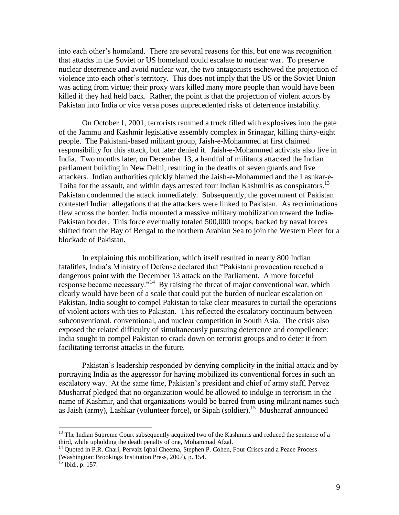into each other's homeland. There are several reasons for this, but one was recognition that attacks in the Soviet or US homeland could escalate to nuclear war. To preserve nuclear deterrence and avoid nuclear war, the two antagonists eschewed the projection of violence into each other's territory. This does not imply that the US or the Soviet Union was acting from virtue; their proxy wars killed many more people than would have been killed if they had held back. Rather, the point is that the projection of violent actors by Pakistan into India or vice versa poses unprecedented risks of deterrence instability.

On October 1, 2001, terrorists rammed a truck filled with explosives into the gate of the Jammu and Kashmir legislative assembly complex in Srinagar, killing thirty-eight people. The Pakistani-based militant group, Jaish-e-Mohammed at first claimed responsibility for this attack, but later denied it. Jaish-e-Mohammed activists also live in India. Two months later, on December 13, a handful of militants attacked the Indian parliament building in New Delhi, resulting in the deaths of seven guards and five attackers. Indian authorities quickly blamed the Jaish-e-Mohammed and the Lashkar-e-Toiba for the assault, and within days arrested four Indian Kashmiris as conspirators.<sup>13</sup> Pakistan condemned the attack immediately. Subsequently, the government of Pakistan contested Indian allegations that the attackers were linked to Pakistan. As recriminations flew across the border, India mounted a massive military mobilization toward the India-Pakistan border. This force eventually totaled 500,000 troops, backed by naval forces shifted from the Bay of Bengal to the northern Arabian Sea to join the Western Fleet for a blockade of Pakistan.

In explaining this mobilization, which itself resulted in nearly 800 Indian fatalities, India's Ministry of Defense declared that "Pakistani provocation reached a dangerous point with the December 13 attack on the Parliament. A more forceful response became necessary."<sup>14</sup> By raising the threat of major conventional war, which clearly would have been of a scale that could put the burden of nuclear escalation on Pakistan, India sought to compel Pakistan to take clear measures to curtail the operations of violent actors with ties to Pakistan. This reflected the escalatory continuum between subconventional, conventional, and nuclear competition in South Asia. The crisis also exposed the related difficulty of simultaneously pursuing deterrence and compellence: India sought to compel Pakistan to crack down on terrorist groups and to deter it from facilitating terrorist attacks in the future.

Pakistan's leadership responded by denying complicity in the initial attack and by portraying India as the aggressor for having mobilized its conventional forces in such an escalatory way. At the same time, Pakistan's president and chief of army staff, Pervez Musharraf pledged that no organization would be allowed to indulge in terrorism in the name of Kashmir, and that organizations would be barred from using militant names such as Jaish (army), Lashkar (volunteer force), or Sipah (soldier).<sup>15</sup> Musharraf announced

<sup>&</sup>lt;sup>13</sup> The Indian Supreme Court subsequently acquitted two of the Kashmiris and reduced the sentence of a third, while upholding the death penalty of one, Mohammad Afzal.

<sup>&</sup>lt;sup>14</sup> Quoted in P.R. Chari, Pervaiz Iqbal Cheema, Stephen P. Cohen, Four Crises and a Peace Process (Washington: Brookings Institution Press, 2007), p. 154.

 $^{15}$  Ibid., p. 157.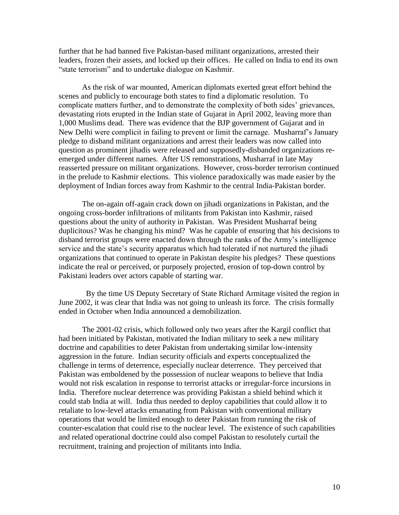further that he had banned five Pakistan-based militant organizations, arrested their leaders, frozen their assets, and locked up their offices. He called on India to end its own "state terrorism" and to undertake dialogue on Kashmir.

As the risk of war mounted, American diplomats exerted great effort behind the scenes and publicly to encourage both states to find a diplomatic resolution. To complicate matters further, and to demonstrate the complexity of both sides' grievances, devastating riots erupted in the Indian state of Gujarat in April 2002, leaving more than 1,000 Muslims dead. There was evidence that the BJP government of Gujarat and in New Delhi were complicit in failing to prevent or limit the carnage. Musharraf's January pledge to disband militant organizations and arrest their leaders was now called into question as prominent jihadis were released and supposedly-disbanded organizations reemerged under different names. After US remonstrations, Musharraf in late May reasserted pressure on militant organizations. However, cross-border terrorism continued in the prelude to Kashmir elections. This violence paradoxically was made easier by the deployment of Indian forces away from Kashmir to the central India-Pakistan border.

The on-again off-again crack down on jihadi organizations in Pakistan, and the ongoing cross-border infiltrations of militants from Pakistan into Kashmir, raised questions about the unity of authority in Pakistan. Was President Musharraf being duplicitous? Was he changing his mind? Was he capable of ensuring that his decisions to disband terrorist groups were enacted down through the ranks of the Army's intelligence service and the state's security apparatus which had tolerated if not nurtured the jihadi organizations that continued to operate in Pakistan despite his pledges? These questions indicate the real or perceived, or purposely projected, erosion of top-down control by Pakistani leaders over actors capable of starting war.

 By the time US Deputy Secretary of State Richard Armitage visited the region in June 2002, it was clear that India was not going to unleash its force. The crisis formally ended in October when India announced a demobilization.

The 2001-02 crisis, which followed only two years after the Kargil conflict that had been initiated by Pakistan, motivated the Indian military to seek a new military doctrine and capabilities to deter Pakistan from undertaking similar low-intensity aggression in the future. Indian security officials and experts conceptualized the challenge in terms of deterrence, especially nuclear deterrence. They perceived that Pakistan was emboldened by the possession of nuclear weapons to believe that India would not risk escalation in response to terrorist attacks or irregular-force incursions in India. Therefore nuclear deterrence was providing Pakistan a shield behind which it could stab India at will. India thus needed to deploy capabilities that could allow it to retaliate to low-level attacks emanating from Pakistan with conventional military operations that would be limited enough to deter Pakistan from running the risk of counter-escalation that could rise to the nuclear level. The existence of such capabilities and related operational doctrine could also compel Pakistan to resolutely curtail the recruitment, training and projection of militants into India.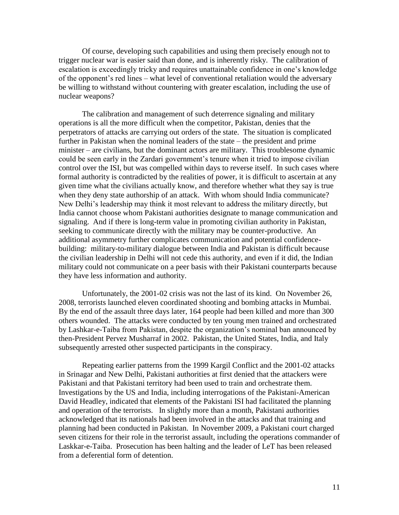Of course, developing such capabilities and using them precisely enough not to trigger nuclear war is easier said than done, and is inherently risky. The calibration of escalation is exceedingly tricky and requires unattainable confidence in one's knowledge of the opponent's red lines – what level of conventional retaliation would the adversary be willing to withstand without countering with greater escalation, including the use of nuclear weapons?

The calibration and management of such deterrence signaling and military operations is all the more difficult when the competitor, Pakistan, denies that the perpetrators of attacks are carrying out orders of the state. The situation is complicated further in Pakistan when the nominal leaders of the state – the president and prime minister – are civilians, but the dominant actors are military. This troublesome dynamic could be seen early in the Zardari government's tenure when it tried to impose civilian control over the ISI, but was compelled within days to reverse itself. In such cases where formal authority is contradicted by the realities of power, it is difficult to ascertain at any given time what the civilians actually know, and therefore whether what they say is true when they deny state authorship of an attack. With whom should India communicate? New Delhi's leadership may think it most relevant to address the military directly, but India cannot choose whom Pakistani authorities designate to manage communication and signaling. And if there is long-term value in promoting civilian authority in Pakistan, seeking to communicate directly with the military may be counter-productive. An additional asymmetry further complicates communication and potential confidencebuilding: military-to-military dialogue between India and Pakistan is difficult because the civilian leadership in Delhi will not cede this authority, and even if it did, the Indian military could not communicate on a peer basis with their Pakistani counterparts because they have less information and authority.

Unfortunately, the 2001-02 crisis was not the last of its kind. On November 26, 2008, terrorists launched eleven coordinated shooting and bombing attacks in Mumbai. By the end of the assault three days later, 164 people had been killed and more than 300 others wounded. The attacks were conducted by ten young men trained and orchestrated by Lashkar-e-Taiba from Pakistan, despite the organization's nominal ban announced by then-President Pervez Musharraf in 2002. Pakistan, the United States, India, and Italy subsequently arrested other suspected participants in the conspiracy.

Repeating earlier patterns from the 1999 Kargil Conflict and the 2001-02 attacks in Srinagar and New Delhi, Pakistani authorities at first denied that the attackers were Pakistani and that Pakistani territory had been used to train and orchestrate them. Investigations by the US and India, including interrogations of the Pakistani-American David Headley, indicated that elements of the Pakistani ISI had facilitated the planning and operation of the terrorists. In slightly more than a month, Pakistani authorities acknowledged that its nationals had been involved in the attacks and that training and planning had been conducted in Pakistan. In November 2009, a Pakistani court charged seven citizens for their role in the terrorist assault, including the operations commander of Laskkar-e-Taiba. Prosecution has been halting and the leader of LeT has been released from a deferential form of detention.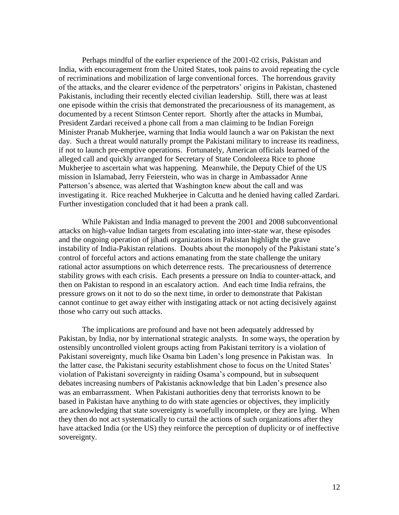Perhaps mindful of the earlier experience of the 2001-02 crisis, Pakistan and India, with encouragement from the United States, took pains to avoid repeating the cycle of recriminations and mobilization of large conventional forces. The horrendous gravity of the attacks, and the clearer evidence of the perpetrators' origins in Pakistan, chastened Pakistanis, including their recently elected civilian leadership. Still, there was at least one episode within the crisis that demonstrated the precariousness of its management, as documented by a recent Stimson Center report. Shortly after the attacks in Mumbai, President Zardari received a phone call from a man claiming to be Indian Foreign Minister Pranab Mukherjee, warning that India would launch a war on Pakistan the next day. Such a threat would naturally prompt the Pakistani military to increase its readiness, if not to launch pre-emptive operations. Fortunately, American officials learned of the alleged call and quickly arranged for Secretary of State Condoleeza Rice to phone Mukherjee to ascertain what was happening. Meanwhile, the Deputy Chief of the US mission in Islamabad, Jerry Feierstein, who was in charge in Ambassador Anne Patterson's absence, was alerted that Washington knew about the call and was investigating it. Rice reached Mukherjee in Calcutta and he denied having called Zardari. Further investigation concluded that it had been a prank call.

While Pakistan and India managed to prevent the 2001 and 2008 subconventional attacks on high-value Indian targets from escalating into inter-state war, these episodes and the ongoing operation of jihadi organizations in Pakistan highlight the grave instability of India-Pakistan relations. Doubts about the monopoly of the Pakistani state's control of forceful actors and actions emanating from the state challenge the unitary rational actor assumptions on which deterrence rests. The precariousness of deterrence stability grows with each crisis. Each presents a pressure on India to counter-attack, and then on Pakistan to respond in an escalatory action. And each time India refrains, the pressure grows on it not to do so the next time, in order to demonstrate that Pakistan cannot continue to get away either with instigating attack or not acting decisively against those who carry out such attacks.

The implications are profound and have not been adequately addressed by Pakistan, by India, nor by international strategic analysts. In some ways, the operation by ostensibly uncontrolled violent groups acting from Pakistani territory is a violation of Pakistani sovereignty, much like Osama bin Laden's long presence in Pakistan was. In the latter case, the Pakistani security establishment chose to focus on the United States' violation of Pakistani sovereignty in raiding Osama's compound, but in subsequent debates increasing numbers of Pakistanis acknowledge that bin Laden's presence also was an embarrassment. When Pakistani authorities deny that terrorists known to be based in Pakistan have anything to do with state agencies or objectives, they implicitly are acknowledging that state sovereignty is woefully incomplete, or they are lying. When they then do not act systematically to curtail the actions of such organizations after they have attacked India (or the US) they reinforce the perception of duplicity or of ineffective sovereignty.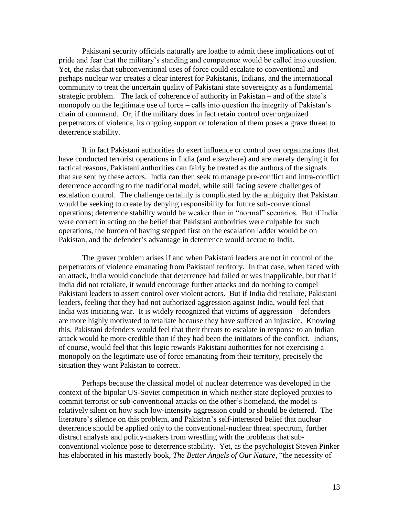Pakistani security officials naturally are loathe to admit these implications out of pride and fear that the military's standing and competence would be called into question. Yet, the risks that subconventional uses of force could escalate to conventional and perhaps nuclear war creates a clear interest for Pakistanis, Indians, and the international community to treat the uncertain quality of Pakistani state sovereignty as a fundamental strategic problem. The lack of coherence of authority in Pakistan – and of the state's monopoly on the legitimate use of force – calls into question the integrity of Pakistan's chain of command. Or, if the military does in fact retain control over organized perpetrators of violence, its ongoing support or toleration of them poses a grave threat to deterrence stability.

If in fact Pakistani authorities do exert influence or control over organizations that have conducted terrorist operations in India (and elsewhere) and are merely denying it for tactical reasons, Pakistani authorities can fairly be treated as the authors of the signals that are sent by these actors. India can then seek to manage pre-conflict and intra-conflict deterrence according to the traditional model, while still facing severe challenges of escalation control. The challenge certainly is complicated by the ambiguity that Pakistan would be seeking to create by denying responsibility for future sub-conventional operations; deterrence stability would be weaker than in "normal" scenarios. But if India were correct in acting on the belief that Pakistani authorities were culpable for such operations, the burden of having stepped first on the escalation ladder would be on Pakistan, and the defender's advantage in deterrence would accrue to India.

The graver problem arises if and when Pakistani leaders are not in control of the perpetrators of violence emanating from Pakistani territory. In that case, when faced with an attack, India would conclude that deterrence had failed or was inapplicable, but that if India did not retaliate, it would encourage further attacks and do nothing to compel Pakistani leaders to assert control over violent actors. But if India did retaliate, Pakistani leaders, feeling that they had not authorized aggression against India, would feel that India was initiating war. It is widely recognized that victims of aggression – defenders – are more highly motivated to retaliate because they have suffered an injustice. Knowing this, Pakistani defenders would feel that their threats to escalate in response to an Indian attack would be more credible than if they had been the initiators of the conflict. Indians, of course, would feel that this logic rewards Pakistani authorities for not exercising a monopoly on the legitimate use of force emanating from their territory, precisely the situation they want Pakistan to correct.

Perhaps because the classical model of nuclear deterrence was developed in the context of the bipolar US-Soviet competition in which neither state deployed proxies to commit terrorist or sub-conventional attacks on the other's homeland, the model is relatively silent on how such low-intensity aggression could or should be deterred. The literature's silence on this problem, and Pakistan's self-interested belief that nuclear deterrence should be applied only to the conventional-nuclear threat spectrum, further distract analysts and policy-makers from wrestling with the problems that subconventional violence pose to deterrence stability. Yet, as the psychologist Steven Pinker has elaborated in his masterly book, *The Better Angels of Our Nature*, "the necessity of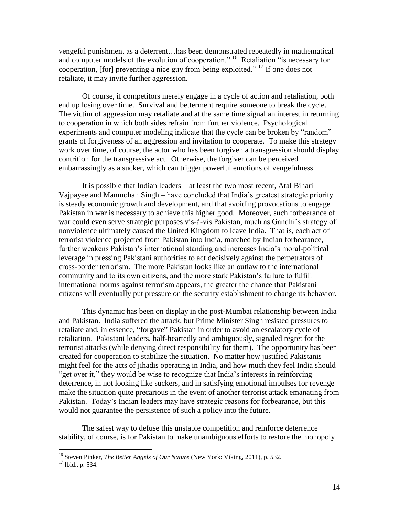vengeful punishment as a deterrent…has been demonstrated repeatedly in mathematical and computer models of the evolution of cooperation."<sup>16</sup> Retaliation "is necessary for cooperation, [for] preventing a nice guy from being exploited." <sup>17</sup> If one does not retaliate, it may invite further aggression.

Of course, if competitors merely engage in a cycle of action and retaliation, both end up losing over time. Survival and betterment require someone to break the cycle. The victim of aggression may retaliate and at the same time signal an interest in returning to cooperation in which both sides refrain from further violence. Psychological experiments and computer modeling indicate that the cycle can be broken by "random" grants of forgiveness of an aggression and invitation to cooperate. To make this strategy work over time, of course, the actor who has been forgiven a transgression should display contrition for the transgressive act. Otherwise, the forgiver can be perceived embarrassingly as a sucker, which can trigger powerful emotions of vengefulness.

It is possible that Indian leaders – at least the two most recent, Atal Bihari Vajpayee and Manmohan Singh – have concluded that India's greatest strategic priority is steady economic growth and development, and that avoiding provocations to engage Pakistan in war is necessary to achieve this higher good. Moreover, such forbearance of war could even serve strategic purposes vis-à-vis Pakistan, much as Gandhi's strategy of nonviolence ultimately caused the United Kingdom to leave India. That is, each act of terrorist violence projected from Pakistan into India, matched by Indian forbearance, further weakens Pakistan's international standing and increases India's moral-political leverage in pressing Pakistani authorities to act decisively against the perpetrators of cross-border terrorism. The more Pakistan looks like an outlaw to the international community and to its own citizens, and the more stark Pakistan's failure to fulfill international norms against terrorism appears, the greater the chance that Pakistani citizens will eventually put pressure on the security establishment to change its behavior.

This dynamic has been on display in the post-Mumbai relationship between India and Pakistan. India suffered the attack, but Prime Minister Singh resisted pressures to retaliate and, in essence, "forgave" Pakistan in order to avoid an escalatory cycle of retaliation. Pakistani leaders, half-heartedly and ambiguously, signaled regret for the terrorist attacks (while denying direct responsibility for them). The opportunity has been created for cooperation to stabilize the situation. No matter how justified Pakistanis might feel for the acts of jihadis operating in India, and how much they feel India should "get over it," they would be wise to recognize that India's interests in reinforcing deterrence, in not looking like suckers, and in satisfying emotional impulses for revenge make the situation quite precarious in the event of another terrorist attack emanating from Pakistan. Today's Indian leaders may have strategic reasons for forbearance, but this would not guarantee the persistence of such a policy into the future.

The safest way to defuse this unstable competition and reinforce deterrence stability, of course, is for Pakistan to make unambiguous efforts to restore the monopoly

<sup>16</sup> Steven Pinker, *The Better Angels of Our Nature* (New York: Viking, 2011), p. 532.

<sup>&</sup>lt;sup>17</sup> Ibid., p. 534.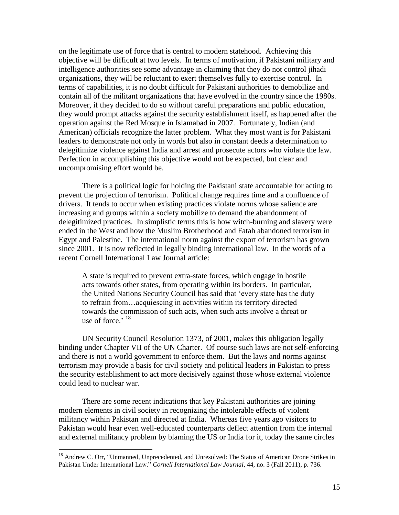on the legitimate use of force that is central to modern statehood. Achieving this objective will be difficult at two levels. In terms of motivation, if Pakistani military and intelligence authorities see some advantage in claiming that they do not control jihadi organizations, they will be reluctant to exert themselves fully to exercise control. In terms of capabilities, it is no doubt difficult for Pakistani authorities to demobilize and contain all of the militant organizations that have evolved in the country since the 1980s. Moreover, if they decided to do so without careful preparations and public education, they would prompt attacks against the security establishment itself, as happened after the operation against the Red Mosque in Islamabad in 2007. Fortunately, Indian (and American) officials recognize the latter problem. What they most want is for Pakistani leaders to demonstrate not only in words but also in constant deeds a determination to delegitimize violence against India and arrest and prosecute actors who violate the law. Perfection in accomplishing this objective would not be expected, but clear and uncompromising effort would be.

There is a political logic for holding the Pakistani state accountable for acting to prevent the projection of terrorism. Political change requires time and a confluence of drivers. It tends to occur when existing practices violate norms whose salience are increasing and groups within a society mobilize to demand the abandonment of delegitimized practices. In simplistic terms this is how witch-burning and slavery were ended in the West and how the Muslim Brotherhood and Fatah abandoned terrorism in Egypt and Palestine. The international norm against the export of terrorism has grown since 2001. It is now reflected in legally binding international law. In the words of a recent Cornell International Law Journal article:

A state is required to prevent extra-state forces, which engage in hostile acts towards other states, from operating within its borders. In particular, the United Nations Security Council has said that 'every state has the duty to refrain from…acquiescing in activities within its territory directed towards the commission of such acts, when such acts involve a threat or use of force.'  $18$ 

UN Security Council Resolution 1373, of 2001, makes this obligation legally binding under Chapter VII of the UN Charter. Of course such laws are not self-enforcing and there is not a world government to enforce them. But the laws and norms against terrorism may provide a basis for civil society and political leaders in Pakistan to press the security establishment to act more decisively against those whose external violence could lead to nuclear war.

There are some recent indications that key Pakistani authorities are joining modern elements in civil society in recognizing the intolerable effects of violent militancy within Pakistan and directed at India. Whereas five years ago visitors to Pakistan would hear even well-educated counterparts deflect attention from the internal and external militancy problem by blaming the US or India for it, today the same circles

<sup>&</sup>lt;sup>18</sup> Andrew C. Orr, "Unmanned, Unprecedented, and Unresolved: The Status of American Drone Strikes in Pakistan Under International Law." *Cornell International Law Journal*, 44, no. 3 (Fall 2011), p. 736.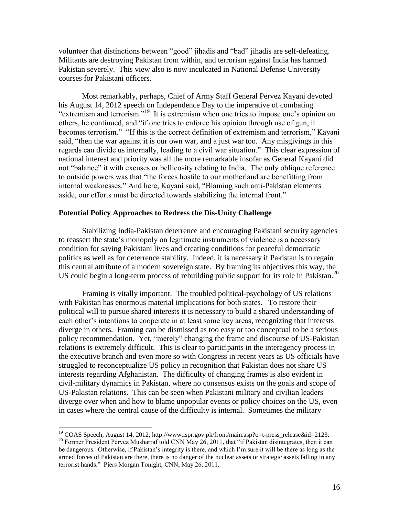volunteer that distinctions between "good" jihadis and "bad" jihadis are self-defeating. Militants are destroying Pakistan from within, and terrorism against India has harmed Pakistan severely. This view also is now inculcated in National Defense University courses for Pakistani officers.

Most remarkably, perhaps, Chief of Army Staff General Pervez Kayani devoted his August 14, 2012 speech on Independence Day to the imperative of combating "extremism and terrorism."<sup>19</sup> It is extremism when one tries to impose one's opinion on others, he continued, and "if one tries to enforce his opinion through use of gun, it becomes terrorism." "If this is the correct definition of extremism and terrorism," Kayani said, "then the war against it is our own war, and a just war too. Any misgivings in this regards can divide us internally, leading to a civil war situation." This clear expression of national interest and priority was all the more remarkable insofar as General Kayani did not "balance" it with excuses or bellicosity relating to India. The only oblique reference to outside powers was that "the forces hostile to our motherland are benefitting from internal weaknesses." And here, Kayani said, "Blaming such anti-Pakistan elements aside, our efforts must be directed towards stabilizing the internal front."

#### **Potential Policy Approaches to Redress the Dis-Unity Challenge**

Stabilizing India-Pakistan deterrence and encouraging Pakistani security agencies to reassert the state's monopoly on legitimate instruments of violence is a necessary condition for saving Pakistani lives and creating conditions for peaceful democratic politics as well as for deterrence stability. Indeed, it is necessary if Pakistan is to regain this central attribute of a modern sovereign state. By framing its objectives this way, the US could begin a long-term process of rebuilding public support for its role in Pakistan.<sup>20</sup>

Framing is vitally important. The troubled political-psychology of US relations with Pakistan has enormous material implications for both states. To restore their political will to pursue shared interests it is necessary to build a shared understanding of each other's intentions to cooperate in at least some key areas, recognizing that interests diverge in others. Framing can be dismissed as too easy or too conceptual to be a serious policy recommendation. Yet, "merely" changing the frame and discourse of US-Pakistan relations is extremely difficult. This is clear to participants in the interagency process in the executive branch and even more so with Congress in recent years as US officials have struggled to reconceptualize US policy in recognition that Pakistan does not share US interests regarding Afghanistan. The difficulty of changing frames is also evident in civil-military dynamics in Pakistan, where no consensus exists on the goals and scope of US-Pakistan relations. This can be seen when Pakistani military and civilian leaders diverge over when and how to blame unpopular events or policy choices on the US, even in cases where the central cause of the difficulty is internal. Sometimes the military

<sup>&</sup>lt;sup>19</sup> COAS Speech, August 14, 2012, http://www.ispr.gov.pk/front/main.asp?o=t-press\_release&id=2123.

<sup>&</sup>lt;sup>20</sup> Former President Pervez Musharraf told CNN May 26, 2011, that "if Pakistan disintegrates, then it can be dangerous. Otherwise, if Pakistan's integrity is there, and which I'm sure it will be there as long as the armed forces of Pakistan are there, there is no danger of the nuclear assets or strategic assets falling in any terrorist hands." Piers Morgan Tonight, CNN, May 26, 2011.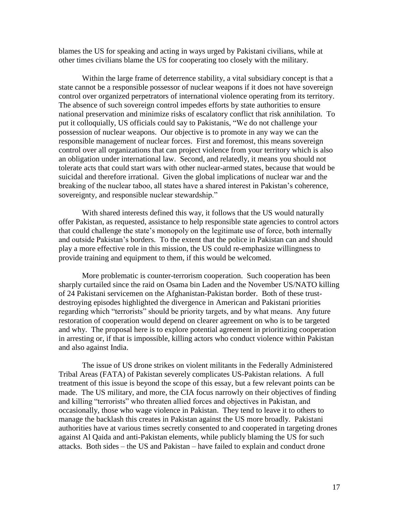blames the US for speaking and acting in ways urged by Pakistani civilians, while at other times civilians blame the US for cooperating too closely with the military.

Within the large frame of deterrence stability, a vital subsidiary concept is that a state cannot be a responsible possessor of nuclear weapons if it does not have sovereign control over organized perpetrators of international violence operating from its territory. The absence of such sovereign control impedes efforts by state authorities to ensure national preservation and minimize risks of escalatory conflict that risk annihilation. To put it colloquially, US officials could say to Pakistanis, "We do not challenge your possession of nuclear weapons. Our objective is to promote in any way we can the responsible management of nuclear forces. First and foremost, this means sovereign control over all organizations that can project violence from your territory which is also an obligation under international law. Second, and relatedly, it means you should not tolerate acts that could start wars with other nuclear-armed states, because that would be suicidal and therefore irrational. Given the global implications of nuclear war and the breaking of the nuclear taboo, all states have a shared interest in Pakistan's coherence, sovereignty, and responsible nuclear stewardship."

With shared interests defined this way, it follows that the US would naturally offer Pakistan, as requested, assistance to help responsible state agencies to control actors that could challenge the state's monopoly on the legitimate use of force, both internally and outside Pakistan's borders. To the extent that the police in Pakistan can and should play a more effective role in this mission, the US could re-emphasize willingness to provide training and equipment to them, if this would be welcomed.

More problematic is counter-terrorism cooperation. Such cooperation has been sharply curtailed since the raid on Osama bin Laden and the November US/NATO killing of 24 Pakistani servicemen on the Afghanistan-Pakistan border. Both of these trustdestroying episodes highlighted the divergence in American and Pakistani priorities regarding which "terrorists" should be priority targets, and by what means. Any future restoration of cooperation would depend on clearer agreement on who is to be targeted and why. The proposal here is to explore potential agreement in prioritizing cooperation in arresting or, if that is impossible, killing actors who conduct violence within Pakistan and also against India.

The issue of US drone strikes on violent militants in the Federally Administered Tribal Areas (FATA) of Pakistan severely complicates US-Pakistan relations. A full treatment of this issue is beyond the scope of this essay, but a few relevant points can be made. The US military, and more, the CIA focus narrowly on their objectives of finding and killing "terrorists" who threaten allied forces and objectives in Pakistan, and occasionally, those who wage violence in Pakistan. They tend to leave it to others to manage the backlash this creates in Pakistan against the US more broadly. Pakistani authorities have at various times secretly consented to and cooperated in targeting drones against Al Qaida and anti-Pakistan elements, while publicly blaming the US for such attacks. Both sides – the US and Pakistan – have failed to explain and conduct drone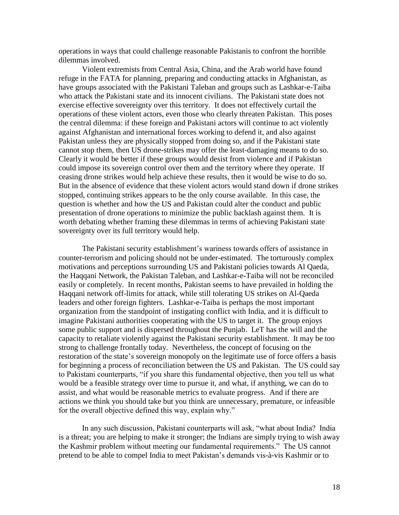operations in ways that could challenge reasonable Pakistanis to confront the horrible dilemmas involved.

Violent extremists from Central Asia, China, and the Arab world have found refuge in the FATA for planning, preparing and conducting attacks in Afghanistan, as have groups associated with the Pakistani Taleban and groups such as Lashkar-e-Taiba who attack the Pakistani state and its innocent civilians. The Pakistani state does not exercise effective sovereignty over this territory. It does not effectively curtail the operations of these violent actors, even those who clearly threaten Pakistan. This poses the central dilemma: if these foreign and Pakistani actors will continue to act violently against Afghanistan and international forces working to defend it, and also against Pakistan unless they are physically stopped from doing so, and if the Pakistani state cannot stop them, then US drone-strikes may offer the least-damaging means to do so. Clearly it would be better if these groups would desist from violence and if Pakistan could impose its sovereign control over them and the territory where they operate. If ceasing drone strikes would help achieve these results, then it would be wise to do so. But in the absence of evidence that these violent actors would stand down if drone strikes stopped, continuing strikes appears to be the only course available. In this case, the question is whether and how the US and Pakistan could alter the conduct and public presentation of drone operations to minimize the public backlash against them. It is worth debating whether framing these dilemmas in terms of achieving Pakistani state sovereignty over its full territory would help.

The Pakistani security establishment's wariness towards offers of assistance in counter-terrorism and policing should not be under-estimated. The torturously complex motivations and perceptions surrounding US and Pakistani policies towards Al Qaeda, the Haqqani Network, the Pakistan Taleban, and Lashkar-e-Taiba will not be reconciled easily or completely. In recent months, Pakistan seems to have prevailed in holding the Haqqani network off-limits for attack, while still tolerating US strikes on Al-Qaeda leaders and other foreign fighters. Lashkar-e-Taiba is perhaps the most important organization from the standpoint of instigating conflict with India, and it is difficult to imagine Pakistani authorities cooperating with the US to target it. The group enjoys some public support and is dispersed throughout the Punjab. LeT has the will and the capacity to retaliate violently against the Pakistani security establishment. It may be too strong to challenge frontally today. Nevertheless, the concept of focusing on the restoration of the state's sovereign monopoly on the legitimate use of force offers a basis for beginning a process of reconciliation between the US and Pakistan. The US could say to Pakistani counterparts, "if you share this fundamental objective, then you tell us what would be a feasible strategy over time to pursue it, and what, if anything, we can do to assist, and what would be reasonable metrics to evaluate progress. And if there are actions we think you should take but you think are unnecessary, premature, or infeasible for the overall objective defined this way, explain why."

In any such discussion, Pakistani counterparts will ask, "what about India? India is a threat; you are helping to make it stronger; the Indians are simply trying to wish away the Kashmir problem without meeting our fundamental requirements." The US cannot pretend to be able to compel India to meet Pakistan's demands vis-à-vis Kashmir or to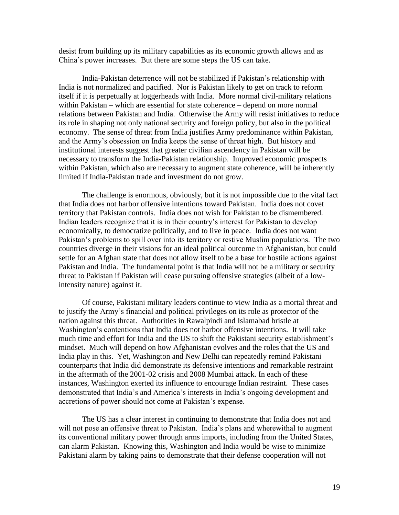desist from building up its military capabilities as its economic growth allows and as China's power increases. But there are some steps the US can take.

India-Pakistan deterrence will not be stabilized if Pakistan's relationship with India is not normalized and pacified. Nor is Pakistan likely to get on track to reform itself if it is perpetually at loggerheads with India. More normal civil-military relations within Pakistan – which are essential for state coherence – depend on more normal relations between Pakistan and India. Otherwise the Army will resist initiatives to reduce its role in shaping not only national security and foreign policy, but also in the political economy. The sense of threat from India justifies Army predominance within Pakistan, and the Army's obsession on India keeps the sense of threat high. But history and institutional interests suggest that greater civilian ascendency in Pakistan will be necessary to transform the India-Pakistan relationship. Improved economic prospects within Pakistan, which also are necessary to augment state coherence, will be inherently limited if India-Pakistan trade and investment do not grow.

The challenge is enormous, obviously, but it is not impossible due to the vital fact that India does not harbor offensive intentions toward Pakistan. India does not covet territory that Pakistan controls. India does not wish for Pakistan to be dismembered. Indian leaders recognize that it is in their country's interest for Pakistan to develop economically, to democratize politically, and to live in peace. India does not want Pakistan's problems to spill over into its territory or restive Muslim populations. The two countries diverge in their visions for an ideal political outcome in Afghanistan, but could settle for an Afghan state that does not allow itself to be a base for hostile actions against Pakistan and India. The fundamental point is that India will not be a military or security threat to Pakistan if Pakistan will cease pursuing offensive strategies (albeit of a lowintensity nature) against it.

Of course, Pakistani military leaders continue to view India as a mortal threat and to justify the Army's financial and political privileges on its role as protector of the nation against this threat. Authorities in Rawalpindi and Islamabad bristle at Washington's contentions that India does not harbor offensive intentions. It will take much time and effort for India and the US to shift the Pakistani security establishment's mindset. Much will depend on how Afghanistan evolves and the roles that the US and India play in this. Yet, Washington and New Delhi can repeatedly remind Pakistani counterparts that India did demonstrate its defensive intentions and remarkable restraint in the aftermath of the 2001-02 crisis and 2008 Mumbai attack. In each of these instances, Washington exerted its influence to encourage Indian restraint. These cases demonstrated that India's and America's interests in India's ongoing development and accretions of power should not come at Pakistan's expense.

The US has a clear interest in continuing to demonstrate that India does not and will not pose an offensive threat to Pakistan. India's plans and wherewithal to augment its conventional military power through arms imports, including from the United States, can alarm Pakistan. Knowing this, Washington and India would be wise to minimize Pakistani alarm by taking pains to demonstrate that their defense cooperation will not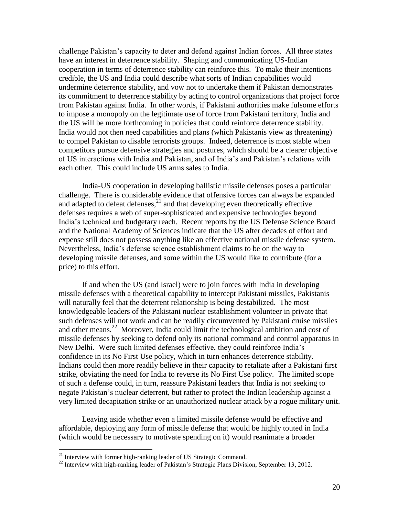challenge Pakistan's capacity to deter and defend against Indian forces. All three states have an interest in deterrence stability. Shaping and communicating US-Indian cooperation in terms of deterrence stability can reinforce this. To make their intentions credible, the US and India could describe what sorts of Indian capabilities would undermine deterrence stability, and vow not to undertake them if Pakistan demonstrates its commitment to deterrence stability by acting to control organizations that project force from Pakistan against India. In other words, if Pakistani authorities make fulsome efforts to impose a monopoly on the legitimate use of force from Pakistani territory, India and the US will be more forthcoming in policies that could reinforce deterrence stability. India would not then need capabilities and plans (which Pakistanis view as threatening) to compel Pakistan to disable terrorists groups. Indeed, deterrence is most stable when competitors pursue defensive strategies and postures, which should be a clearer objective of US interactions with India and Pakistan, and of India's and Pakistan's relations with each other. This could include US arms sales to India.

India-US cooperation in developing ballistic missile defenses poses a particular challenge. There is considerable evidence that offensive forces can always be expanded and adapted to defeat defenses, $^{21}$  and that developing even theoretically effective defenses requires a web of super-sophisticated and expensive technologies beyond India's technical and budgetary reach. Recent reports by the US Defense Science Board and the National Academy of Sciences indicate that the US after decades of effort and expense still does not possess anything like an effective national missile defense system. Nevertheless, India's defense science establishment claims to be on the way to developing missile defenses, and some within the US would like to contribute (for a price) to this effort.

If and when the US (and Israel) were to join forces with India in developing missile defenses with a theoretical capability to intercept Pakistani missiles, Pakistanis will naturally feel that the deterrent relationship is being destabilized. The most knowledgeable leaders of the Pakistani nuclear establishment volunteer in private that such defenses will not work and can be readily circumvented by Pakistani cruise missiles and other means.<sup>22</sup> Moreover, India could limit the technological ambition and cost of missile defenses by seeking to defend only its national command and control apparatus in New Delhi. Were such limited defenses effective, they could reinforce India's confidence in its No First Use policy, which in turn enhances deterrence stability. Indians could then more readily believe in their capacity to retaliate after a Pakistani first strike, obviating the need for India to reverse its No First Use policy. The limited scope of such a defense could, in turn, reassure Pakistani leaders that India is not seeking to negate Pakistan's nuclear deterrent, but rather to protect the Indian leadership against a very limited decapitation strike or an unauthorized nuclear attack by a rogue military unit.

Leaving aside whether even a limited missile defense would be effective and affordable, deploying any form of missile defense that would be highly touted in India (which would be necessary to motivate spending on it) would reanimate a broader

 $21$  Interview with former high-ranking leader of US Strategic Command.

<sup>&</sup>lt;sup>22</sup> Interview with high-ranking leader of Pakistan's Strategic Plans Division, September 13, 2012.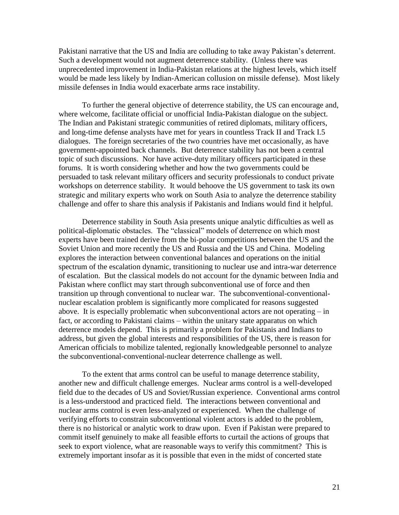Pakistani narrative that the US and India are colluding to take away Pakistan's deterrent. Such a development would not augment deterrence stability. (Unless there was unprecedented improvement in India-Pakistan relations at the highest levels, which itself would be made less likely by Indian-American collusion on missile defense). Most likely missile defenses in India would exacerbate arms race instability.

To further the general objective of deterrence stability, the US can encourage and, where welcome, facilitate official or unofficial India-Pakistan dialogue on the subject. The Indian and Pakistani strategic communities of retired diplomats, military officers, and long-time defense analysts have met for years in countless Track II and Track I.5 dialogues. The foreign secretaries of the two countries have met occasionally, as have government-appointed back channels. But deterrence stability has not been a central topic of such discussions. Nor have active-duty military officers participated in these forums. It is worth considering whether and how the two governments could be persuaded to task relevant military officers and security professionals to conduct private workshops on deterrence stability. It would behoove the US government to task its own strategic and military experts who work on South Asia to analyze the deterrence stability challenge and offer to share this analysis if Pakistanis and Indians would find it helpful.

Deterrence stability in South Asia presents unique analytic difficulties as well as political-diplomatic obstacles. The "classical" models of deterrence on which most experts have been trained derive from the bi-polar competitions between the US and the Soviet Union and more recently the US and Russia and the US and China. Modeling explores the interaction between conventional balances and operations on the initial spectrum of the escalation dynamic, transitioning to nuclear use and intra-war deterrence of escalation. But the classical models do not account for the dynamic between India and Pakistan where conflict may start through subconventional use of force and then transition up through conventional to nuclear war. The subconventional-conventionalnuclear escalation problem is significantly more complicated for reasons suggested above. It is especially problematic when subconventional actors are not operating – in fact, or according to Pakistani claims – within the unitary state apparatus on which deterrence models depend. This is primarily a problem for Pakistanis and Indians to address, but given the global interests and responsibilities of the US, there is reason for American officials to mobilize talented, regionally knowledgeable personnel to analyze the subconventional-conventional-nuclear deterrence challenge as well.

To the extent that arms control can be useful to manage deterrence stability, another new and difficult challenge emerges. Nuclear arms control is a well-developed field due to the decades of US and Soviet/Russian experience. Conventional arms control is a less-understood and practiced field. The interactions between conventional and nuclear arms control is even less-analyzed or experienced. When the challenge of verifying efforts to constrain subconventional violent actors is added to the problem, there is no historical or analytic work to draw upon. Even if Pakistan were prepared to commit itself genuinely to make all feasible efforts to curtail the actions of groups that seek to export violence, what are reasonable ways to verify this commitment? This is extremely important insofar as it is possible that even in the midst of concerted state